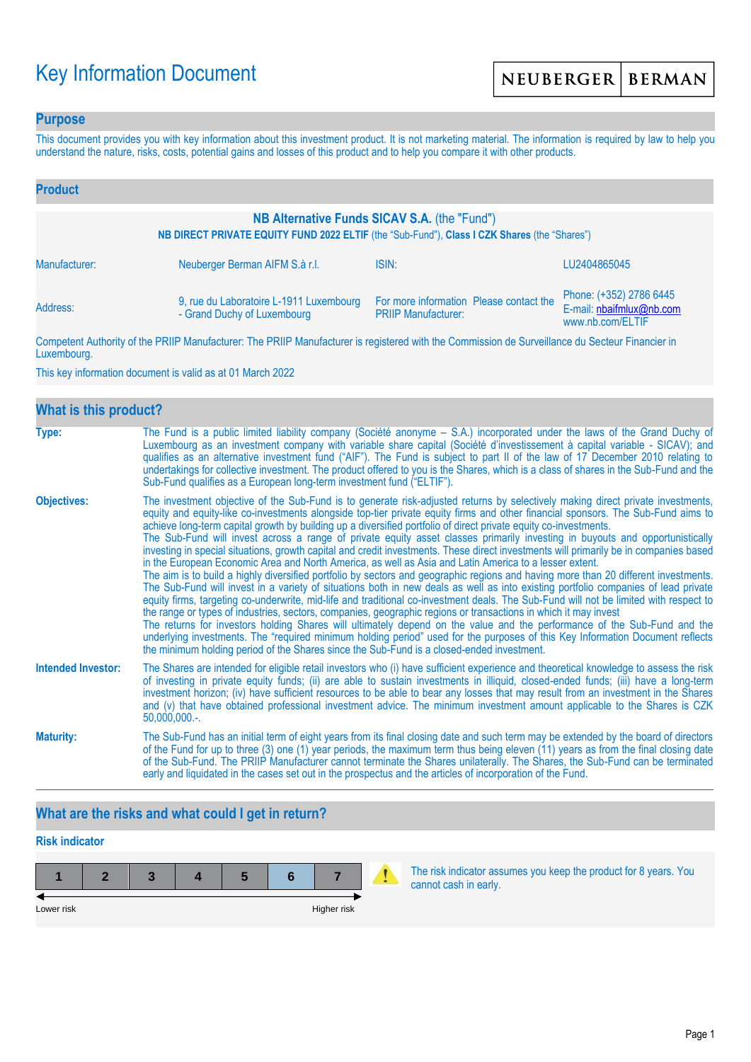# Key Information Document

## **Purpose**

This document provides you with key information about this investment product. It is not marketing material. The information is required by law to help you understand the nature, risks, costs, potential gains and losses of this product and to help you compare it with other products.

| <b>Product</b>                                                                                                                               |                                                                        |                                                                       |                                                                         |  |  |
|----------------------------------------------------------------------------------------------------------------------------------------------|------------------------------------------------------------------------|-----------------------------------------------------------------------|-------------------------------------------------------------------------|--|--|
| NB Alternative Funds SICAV S.A. (the "Fund")<br>NB DIRECT PRIVATE EQUITY FUND 2022 ELTIF (the "Sub-Fund"), Class I CZK Shares (the "Shares") |                                                                        |                                                                       |                                                                         |  |  |
| Manufacturer:                                                                                                                                | Neuberger Berman AIFM S.à r.l.                                         | ISIN:                                                                 | LU2404865045                                                            |  |  |
| Address:                                                                                                                                     | 9, rue du Laboratoire L-1911 Luxembourg<br>- Grand Duchy of Luxembourg | For more information Please contact the<br><b>PRIIP Manufacturer:</b> | Phone: (+352) 2786 6445<br>E-mail: nbaifmlux@nb.com<br>www.nb.com/ELTIF |  |  |

Competent Authority of the PRIIP Manufacturer: The PRIIP Manufacturer is registered with the Commission de Surveillance du Secteur Financier in Luxembourg.

This key information document is valid as at 01 March 2022

| What is this product?     |                                                                                                                                                                                                                                                                                                                                                                                                                                                                                                                                                                                                                                                                                                                                                                                                                                                                                                                                                                                                                                                                                                                                                                                                                                                                                                                                                                                                                                                                                                                                                                                                                                                                               |
|---------------------------|-------------------------------------------------------------------------------------------------------------------------------------------------------------------------------------------------------------------------------------------------------------------------------------------------------------------------------------------------------------------------------------------------------------------------------------------------------------------------------------------------------------------------------------------------------------------------------------------------------------------------------------------------------------------------------------------------------------------------------------------------------------------------------------------------------------------------------------------------------------------------------------------------------------------------------------------------------------------------------------------------------------------------------------------------------------------------------------------------------------------------------------------------------------------------------------------------------------------------------------------------------------------------------------------------------------------------------------------------------------------------------------------------------------------------------------------------------------------------------------------------------------------------------------------------------------------------------------------------------------------------------------------------------------------------------|
| Type:                     | The Fund is a public limited liability company (Société anonyme - S.A.) incorporated under the laws of the Grand Duchy of<br>Luxembourg as an investment company with variable share capital (Société d'investissement à capital variable - SICAV); and<br>qualifies as an alternative investment fund ("AIF"). The Fund is subject to part II of the law of 17 December 2010 relating to<br>undertakings for collective investment. The product offered to you is the Shares, which is a class of shares in the Sub-Fund and the<br>Sub-Fund qualifies as a European long-term investment fund ("ELTIF").                                                                                                                                                                                                                                                                                                                                                                                                                                                                                                                                                                                                                                                                                                                                                                                                                                                                                                                                                                                                                                                                    |
| <b>Objectives:</b>        | The investment objective of the Sub-Fund is to generate risk-adjusted returns by selectively making direct private investments,<br>equity and equity-like co-investments alongside top-tier private equity firms and other financial sponsors. The Sub-Fund aims to<br>achieve long-term capital growth by building up a diversified portfolio of direct private equity co-investments.<br>The Sub-Fund will invest across a range of private equity asset classes primarily investing in buyouts and opportunistically<br>investing in special situations, growth capital and credit investments. These direct investments will primarily be in companies based<br>in the European Economic Area and North America, as well as Asia and Latin America to a lesser extent.<br>The aim is to build a highly diversified portfolio by sectors and geographic regions and having more than 20 different investments.<br>The Sub-Fund will invest in a variety of situations both in new deals as well as into existing portfolio companies of lead private<br>equity firms, targeting co-underwrite, mid-life and traditional co-investment deals. The Sub-Fund will not be limited with respect to<br>the range or types of industries, sectors, companies, geographic regions or transactions in which it may invest<br>The returns for investors holding Shares will ultimately depend on the value and the performance of the Sub-Fund and the<br>underlying investments. The "required minimum holding period" used for the purposes of this Key Information Document reflects<br>the minimum holding period of the Shares since the Sub-Fund is a closed-ended investment. |
| <b>Intended Investor:</b> | The Shares are intended for eligible retail investors who (i) have sufficient experience and theoretical knowledge to assess the risk<br>of investing in private equity funds; (ii) are able to sustain investments in illiquid, closed-ended funds; (iii) have a long-term<br>investment horizon; (iv) have sufficient resources to be able to bear any losses that may result from an investment in the Shares<br>and (v) that have obtained professional investment advice. The minimum investment amount applicable to the Shares is CZK<br>$50,000,000.$ -.                                                                                                                                                                                                                                                                                                                                                                                                                                                                                                                                                                                                                                                                                                                                                                                                                                                                                                                                                                                                                                                                                                              |
| <b>Maturity:</b>          | The Sub-Fund has an initial term of eight years from its final closing date and such term may be extended by the board of directors<br>of the Fund for up to three (3) one (1) year periods, the maximum term thus being eleven (11) years as from the final closing date<br>of the Sub-Fund. The PRIIP Manufacturer cannot terminate the Shares unilaterally. The Shares, the Sub-Fund can be terminated<br>early and liquidated in the cases set out in the prospectus and the articles of incorporation of the Fund.                                                                                                                                                                                                                                                                                                                                                                                                                                                                                                                                                                                                                                                                                                                                                                                                                                                                                                                                                                                                                                                                                                                                                       |

## **What are the risks and what could I get in return?**

## **Risk indicator**

| Lower risk |  |  | Higher risk |  |
|------------|--|--|-------------|--|

The risk indicator assumes you keep the product for 8 years. You cannot cash in early.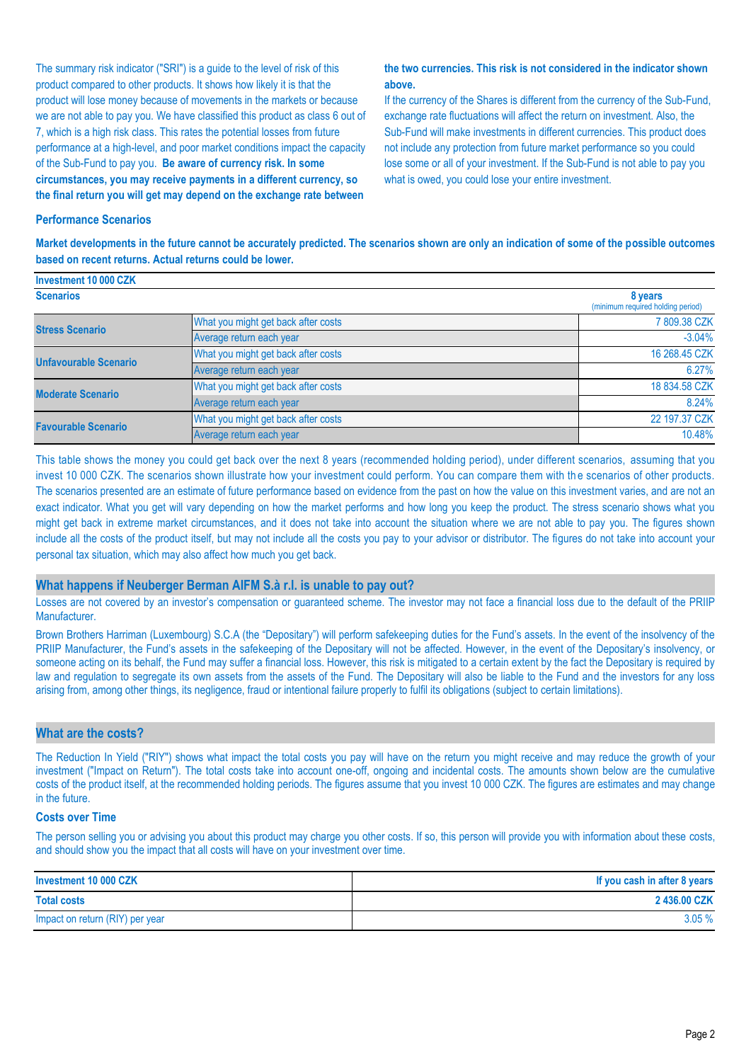The summary risk indicator ("SRI") is a guide to the level of risk of this product compared to other products. It shows how likely it is that the product will lose money because of movements in the markets or because we are not able to pay you. We have classified this product as class 6 out of 7, which is a high risk class. This rates the potential losses from future performance at a high-level, and poor market conditions impact the capacity of the Sub-Fund to pay you. **Be aware of currency risk. In some circumstances, you may receive payments in a different currency, so the final return you will get may depend on the exchange rate between** 

#### **the two currencies. This risk is not considered in the indicator shown above.**

If the currency of the Shares is different from the currency of the Sub-Fund, exchange rate fluctuations will affect the return on investment. Also, the Sub-Fund will make investments in different currencies. This product does not include any protection from future market performance so you could lose some or all of your investment. If the Sub-Fund is not able to pay you what is owed, you could lose your entire investment.

#### **Performance Scenarios**

**Investment 10 000 CZK**

**Market developments in the future cannot be accurately predicted. The scenarios shown are only an indication of some of the possible outcomes based on recent returns. Actual returns could be lower.**

| <b>INVESURENT TV UVU UZN</b> |                                              |               |
|------------------------------|----------------------------------------------|---------------|
| <b>Scenarios</b>             | 8 years<br>(minimum required holding period) |               |
| <b>Stress Scenario</b>       | What you might get back after costs          | 7809.38 CZK   |
|                              | Average return each year                     | $-3.04%$      |
| <b>Unfavourable Scenario</b> | What you might get back after costs          | 16 268,45 CZK |
|                              | Average return each year                     | 6.27%         |
| <b>Moderate Scenario</b>     | What you might get back after costs          | 18 834.58 CZK |
|                              | Average return each year                     | 8.24%         |
| <b>Favourable Scenario</b>   | What you might get back after costs          | 22 197.37 CZK |
|                              | Average return each year                     | 10.48%        |

This table shows the money you could get back over the next 8 years (recommended holding period), under different scenarios, assuming that you invest 10 000 CZK. The scenarios shown illustrate how your investment could perform. You can compare them with the scenarios of other products. The scenarios presented are an estimate of future performance based on evidence from the past on how the value on this investment varies, and are not an exact indicator. What you get will vary depending on how the market performs and how long you keep the product. The stress scenario shows what you might get back in extreme market circumstances, and it does not take into account the situation where we are not able to pay you. The figures shown include all the costs of the product itself, but may not include all the costs you pay to your advisor or distributor. The figures do not take into account your personal tax situation, which may also affect how much you get back.

#### **What happens if Neuberger Berman AIFM S.à r.l. is unable to pay out?**

Losses are not covered by an investor's compensation or guaranteed scheme. The investor may not face a financial loss due to the default of the PRIIP Manufacturer.

Brown Brothers Harriman (Luxembourg) S.C.A (the "Depositary") will perform safekeeping duties for the Fund's assets. In the event of the insolvency of the PRIIP Manufacturer, the Fund's assets in the safekeeping of the Depositary will not be affected. However, in the event of the Depositary's insolvency, or someone acting on its behalf, the Fund may suffer a financial loss. However, this risk is mitigated to a certain extent by the fact the Depositary is required by law and regulation to segregate its own assets from the assets of the Fund. The Depositary will also be liable to the Fund and the investors for any loss arising from, among other things, its negligence, fraud or intentional failure properly to fulfil its obligations (subject to certain limitations).

#### **What are the costs?**

The Reduction In Yield ("RIY") shows what impact the total costs you pay will have on the return you might receive and may reduce the growth of your investment ("Impact on Return"). The total costs take into account one-off, ongoing and incidental costs. The amounts shown below are the cumulative costs of the product itself, at the recommended holding periods. The figures assume that you invest 10 000 CZK. The figures are estimates and may change in the future.

#### **Costs over Time**

The person selling you or advising you about this product may charge you other costs. If so, this person will provide you with information about these costs, and should show you the impact that all costs will have on your investment over time.

| Investment 10 000 CZK           | If you cash in after 8 years |
|---------------------------------|------------------------------|
| <b>Total costs</b>              | 2436.00 CZK                  |
| Impact on return (RIY) per year | $3.05\%$                     |